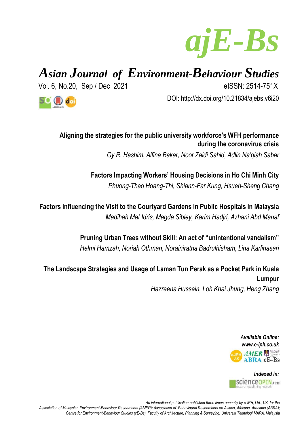

# *Asian Journal of Environment-Behaviour Studies*

Vol. 6, No.20, Sep / Dec 2021 eISSN: 2514-751X

DOI: http://dx.doi.org/10.21834/ajebs.v6i20



## **Aligning the strategies for the public university workforce's WFH performance during the coronavirus crisis**

*Gy R. Hashim, Alfina Bakar, Noor Zaidi Sahid, Adlin Na'qiah Sabar*

**Factors Impacting Workers' Housing Decisions in Ho Chi Minh City** *Phuong-Thao Hoang-Thi, Shiann-Far Kung, Hsueh-Sheng Chang*

**Factors Influencing the Visit to the Courtyard Gardens in Public Hospitals in Malaysia** *Madihah Mat Idris, Magda Sibley, Karim Hadjri, Azhani Abd Manaf*

> **Pruning Urban Trees without Skill: An act of "unintentional vandalism"** *Helmi Hamzah, Noriah Othman, Norainiratna Badrulhisham, Lina Karlinasari*

**The Landscape Strategies and Usage of Laman Tun Perak as a Pocket Park in Kuala Lumpur** *Hazreena Hussein, Loh Khai Jhung, Heng Zhang*

> *Available Online: www.e-iph.co.uk* PH AMER **ABRA cE-Bs**



*An international publication published three times annually by e-IPH, Ltd., UK, for the Association of Malaysian Environment-Behaviour Researchers (AMER); Association of Behavioural Researchers on Asians, Africans, Arabians (ABRA); Centre for Environment-Behaviour Studies (cE-Bs), Faculty of Architecture, Planning & Surveying, Universiti Teknologi MARA, Malaysia*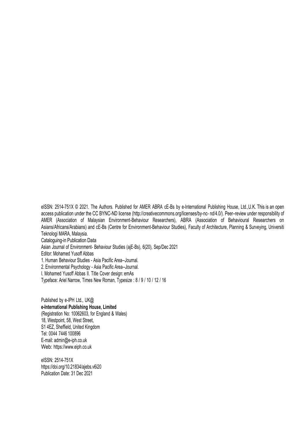eISSN: 2514-751X © 2021. The Authors. Published for AMER ABRA cE-Bs by e-International Publishing House, Ltd.,U.K. This is an open access publication under the CC BYNC-ND licens[e \(http://creativecommons.org/licenses/by-nc-](http://creativecommons.org/licenses/by-nc-nd/4.0/)) [nd/4.0/\). P](http://creativecommons.org/licenses/by-nc-nd/4.0/))eer–review under responsibility of AMER (Association of Malaysian Environment-Behaviour Researchers), ABRA (Association of Behavioural Researchers on Asians/Africans/Arabians) and cE-Bs (Centre for Environment-Behaviour Studies), Faculty of Architecture, Planning & Surveying, Universiti Teknologi MARA, Malaysia. Cataloguing-in Publication Data Asian Journal of Environment- Behaviour Studies (ajE-Bs), 6(20), Sep/Dec 2021 Editor: Mohamed Yusoff Abbas 1. Human Behaviour Studies - Asia Pacific Area--Journal. 2. Environmental Psychology - Asia Pacific Area--Journal. I. Mohamed Yusoff Abbas II. Title Cover design: emAs

Typeface: Ariel Narrow, Times New Roman, Typesize : 8 / 9 / 10 / 12 / 16

Published by e-IPH Ltd., UK@ **e-International Publishing House, Limited** (Registration No: 10062603, for England & Wales) 18, Westpoint, 58, West Street, S1 4EZ, Sheffield, United Kingdom Tel: 0044 7446 100896 E-mail: [admin@e-iph.co.uk](mailto:admin@e-iph.co.uk) Web: http[s://www.eiph.co.uk](http://www.e-iph.co.uk/)

eISSN: 2514-751X https://doi.org/10.21834/ajebs.v6i20 Publication Date: 31 Dec 2021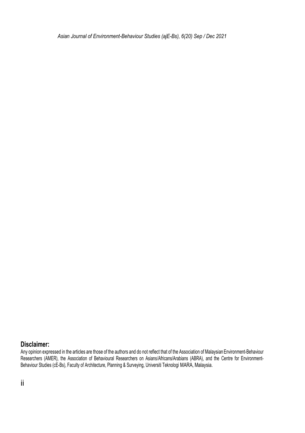*Asian Journal of Environment-Behaviour Studies (ajE-Bs), 6(20) Sep / Dec 2021*

#### **Disclaimer:**

Any opinion expressed in the articles are those of the authors and do not reflect that of the Association of MalaysianEnvironment-Behaviour Researchers (AMER), the Association of Behavioural Researchers on Asians/Africans/Arabians (ABRA), and the Centre for Environment-Behaviour Studies (cE-Bs), Faculty of Architecture, Planning & Surveying, Universiti Teknologi MARA, Malaysia.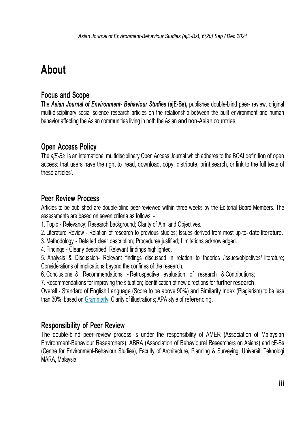## **About**

## **Focus and Scope**

The *Asian Journal of Environment- Behaviour Studies* **(ajE-Bs),** publishes double-blind peer- review, original multi-disciplinary social science research articles on the relationship between the built environment and human behavior affecting the Asian communities living in both the Asian and non-Asian countries.

## **Open Access Policy**

The *ajE-Bs* is an international multidisciplinary Open Access Journal which adheres to the BOAI definition of open access: that users have the right to 'read, download, copy, distribute, print,search, or link to the full texts of these articles'.

## **Peer Review Process**

Articles to be published are double-blind peer-reviewed within three weeks by the Editorial Board Members. The assessments are based on seven criteria as follows: -

- 1. Topic Relevancy; Research background; Clarity of Aim and Objectives.
- 2. Literature Review Relation of research to previous studies; Issues derived from most up-to- date literature.
- 3. Methodology Detailed clear description; Procedures justified; Limitations acknowledged.
- 4. Findings Clearly described; Relevant findings highlighted.
- 5. Analysis & Discussion- Relevant findings discussed in relation to theories /issues/objectives/ literature; Considerations of implications beyond the confines of the research.
- 6. Conclusions & Recommendations Retrospective evaluation of research & Contributions;

7. Recommendations for improving the situation; Identification of new directions for further research

Overall - Standard of English Language (Score to be above 90%) and Similarity Index (Plagiarism) to be less than 30%, based on [Grammarly; C](https://www.grammarly.com/)larity of illustrations; APA style of referencing.

## **Responsibility of Peer Review**

The double-blind peer–review process is under the responsibility of AMER (Association of Malaysian Environment-Behaviour Researchers), ABRA (Association of Behavioural Researchers on Asians) and cE-Bs (Centre for Environment-Behaviour Studies), Faculty of Architecture, Planning & Surveying, Universiti Teknologi MARA, Malaysia.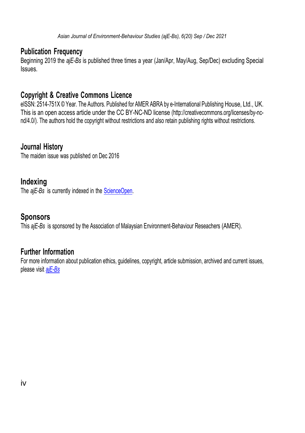## **Publication Frequency**

Beginning 2019 the *ajE-Bs* is published three times a year (Jan/Apr, May/Aug, Sep/Dec) excluding Special Issues.

## **Copyright & Creative Commons Licence**

eISSN: 2514-751X © Year. The Authors. Published for AMER ABRA by e-International Publishing House, Ltd., UK. This is an open access article under the CC BY-NC-ND license [\(http://creativecommons.org/licenses/by-nc](http://creativecommons.org/licenses/by-nc-nd/4.0/))[nd/4.0/\). T](http://creativecommons.org/licenses/by-nc-nd/4.0/))he authors hold the copyright without restrictions and also retain publishing rights without restrictions.

## **Journal History**

The maiden issue was published on Dec 2016

## **Indexing**

The *ajE-Bs* is currently indexed in the **ScienceOpen**.

## **Sponsors**

This *ajE-Bs* is sponsored by the Association of Malaysian Environment-Behaviour Reseachers (AMER).

## **Further Information**

For more information about publication ethics, guidelines, copyright, article submission, archived and current issues, please visit *[ajE-Bs](https://aje-bs.e-iph.co.uk/index.php/ajE-Bs/issue/archive)*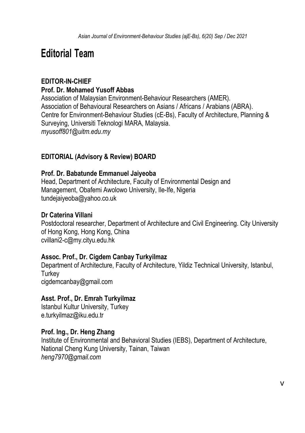## **Editorial Team**

### **EDITOR-IN-CHIEF Prof. Dr. Mohamed Yusoff Abbas**

Association of Malaysian Environment-Behaviour Researchers (AMER). Association of Behavioural Researchers on Asians / Africans / Arabians (ABRA). Centre for Environment-Behaviour Studies (cE-Bs), Faculty of Architecture, Planning & Surveying, Universiti Teknologi MARA, Malaysia. *myusoff801@uitm.edu.my*

### **EDITORIAL (Advisory & Review) BOARD**

#### **Prof. Dr. Babatunde Emmanuel Jaiyeoba**

Head, Department of Architecture, Faculty of Environmental Design and Management, Obafemi Awolowo University, Ile-Ife, Nigeria tundejaiyeoba@yahoo.co.uk

#### **Dr Caterina Villani**

Postdoctoral researcher, Department of Architecture and Civil Engineering. City University of Hong Kong, Hong Kong, China cvillani2-c@my.cityu.edu.hk

#### **Assoc. Prof., Dr. Cigdem Canbay Turkyilmaz**

Department of Architecture, Faculty of Architecture, Yildiz Technical University, Istanbul, **Turkey** cigdemcanbay@gmail.com

#### **Asst. Prof., Dr. Emrah Turkyilmaz**

Istanbul Kultur University, Turkey e.turkyilmaz@iku.edu.tr

#### **Prof. Ing., Dr. Heng Zhang**

Institute of Environmental and Behavioral Studies (IEBS), Department of Architecture, National Cheng Kung University, Tainan, Taiwan *heng7970@gmail.com*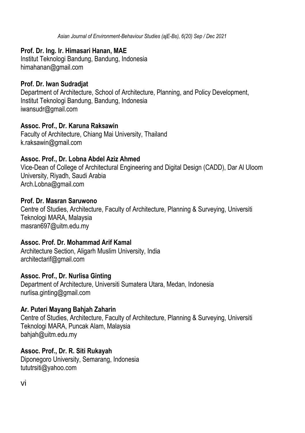*Asian Journal of Environment-Behaviour Studies (ajE-Bs), 6(20) Sep / Dec 2021*

#### **Prof. Dr. Ing. Ir. Himasari Hanan, MAE**

Institut Teknologi Bandung, Bandung, Indonesia himahanan@gmail.com

#### **Prof. Dr. Iwan Sudradjat**

Department of Architecture, School of Architecture, Planning, and Policy Development, Institut Teknologi Bandung, Bandung, Indonesia iwansudr@gmail.com

#### **Assoc. Prof., Dr. Karuna Raksawin**

Faculty of Architecture, Chiang Mai University, Thailand k.raksawin@gmail.com

#### **Assoc. Prof., Dr. Lobna Abdel Aziz Ahmed**

Vice-Dean of College of Architectural Engineering and Digital Design (CADD), Dar Al Uloom University, Riyadh, Saudi Arabia Arch.Lobna@gmail.com

#### **Prof. Dr. Masran Saruwono**

Centre of Studies, Architecture, Faculty of Architecture, Planning & Surveying, Universiti Teknologi MARA, Malaysia masran697@uitm.edu.my

#### **Assoc. Prof. Dr. Mohammad Arif Kamal**

Architecture Section, Aligarh Muslim University, India architectarif@gmail.com

#### **Assoc. Prof., Dr. Nurlisa Ginting**

Department of Architecture, Universiti Sumatera Utara, Medan, Indonesia nurlisa.ginting@gmail.com

#### **Ar. Puteri Mayang Bahjah Zaharin**

Centre of Studies, Architecture, Faculty of Architecture, Planning & Surveying, Universiti Teknologi MARA, Puncak Alam, Malaysia bahjah@uitm.edu.my

#### **Assoc. Prof., Dr. R. Siti Rukayah**

Diponegoro University, Semarang, Indonesia tututrsiti@yahoo.com

vi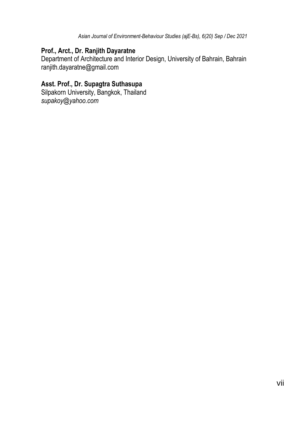*Asian Journal of Environment-Behaviour Studies (ajE-Bs), 6(20) Sep / Dec 2021*

#### **Prof., Arct., Dr. Ranjith Dayaratne**

Department of Architecture and Interior Design, University of Bahrain, Bahrain ranjith.dayaratne@gmail.com

### **Asst. Prof., Dr. Supagtra Suthasupa**

Silpakorn University, Bangkok, Thailand *supakoy@yahoo.com*